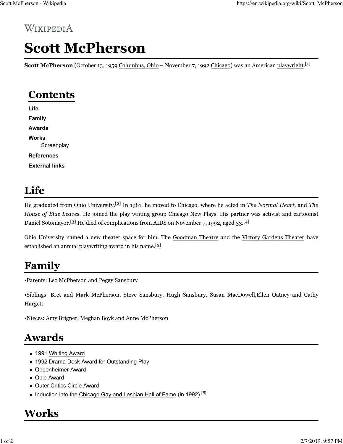# Scott McPherson

Scott McPherson (October 13, 1959 Columbus, Ohio – November 7, 1992 Chicago) was an American playwright.<sup>[1]</sup>

## **Contents**

Life Family Awards **Works Screenplay** References External links

#### Life

He graduated from Ohio University.<sup>[2]</sup> In 1981, he moved to Chicago, where he acted in The Normal Heart, and The House of Blue Leaves. He joined the play writing group Chicago New Plays. His partner was activist and cartoonist Daniel Sotomayor.<sup>[3]</sup> He died of complications from AIDS on November 7, 1992, aged 33.<sup>[4]</sup> **Contents**<br>
Life<br> **External links**<br> **Norks**<br> **Screenplay**<br> **References**<br> **External links**<br> **External links**<br> **ILEC**<br>
ILE graduated from Ohio University.<sup>[2]</sup> In 1981, he moved to Chicago, where he acted in *The Normal Hea* **External links**<br> **External links**<br>
He graduated from Ohio University.<sup>[2]</sup> In 1981, he moved to Chicago, where he acted in *The Normal Heart*, and *The*<br>
House of *Blue Leaves.* He joined to plus writing group Chicago New

established an annual playwriting award in his name.<sup>[5]</sup>

## Family

•Parents: Leo McPherson and Peggy Sansbury

Hargett

•Nieces: Amy Brigner, Meghan Boyk and Anne McPherson

#### Awards

- 1991 Whiting Award
- 1992 Drama Desk Award for Outstanding Play
- **Oppenheimer Award**
- **Obie Award**
- **Duter Critics Circle Award**
- Induction into the Chicago Gay and Lesbian Hall of Fame (in 1992).<sup>[6]</sup>

## Works